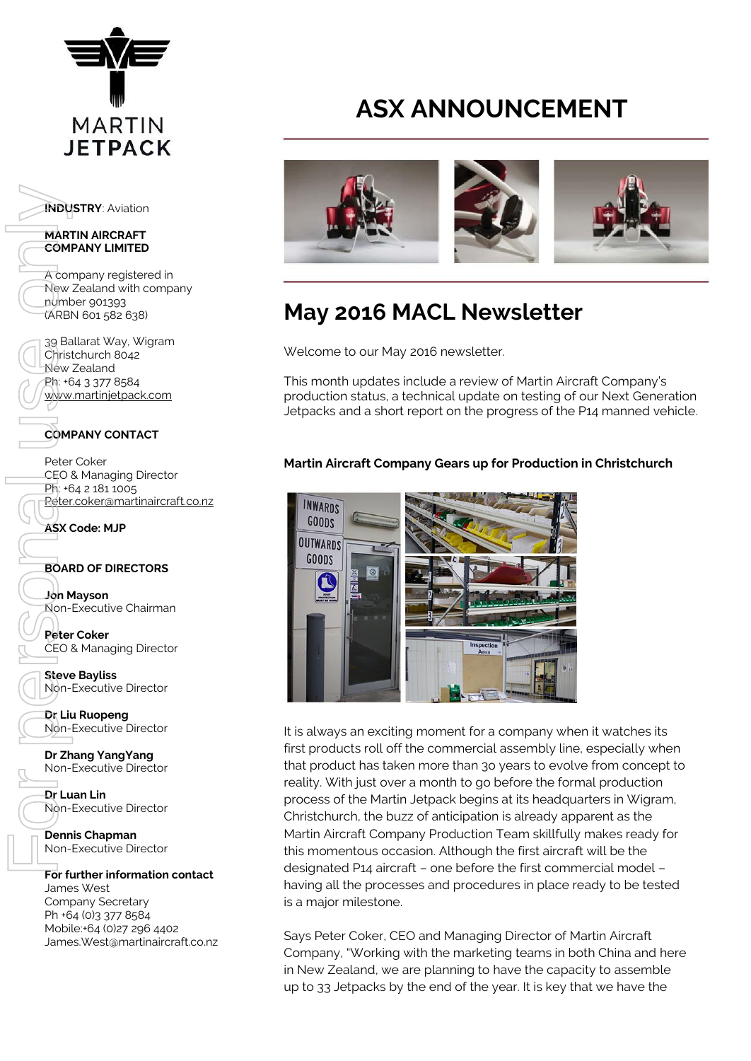

**INDUSTRY**: Aviation

#### **MARTIN AIRCRAFT COMPANY LIMITED**

A company registered in New Zealand with company number 901393 (ARBN 601 582 638)

39 Ballarat Way, Wigram Christchurch 8042 New Zealand Ph: +64 3 377 8584 [www.martinjetpack.com](http://www.martinjetpack.com/)

## **COMPANY CONTACT**

Peter Coker CEO & Managing Director Ph: +64 2 181 1005 [Peter.coker@martinaircraft.co.nz](mailto:Peter.coker@martinaircraft.co.nz)

**ASX Code: MJP**

## **BOARD OF DIRECTORS**

**Jon Mayson**  Non-Executive Chairman

**Peter Coker**  CEO & Managing Director

**Steve Bayliss** Non-Executive Director

**Dr Liu Ruopeng**  Non-Executive Director

**Dr Zhang YangYang**  Non-Executive Director

**Dr Luan Lin** Non-Executive Director

**Dennis Chapman** Non-Executive Director

## **For further information contact**

James West Company Secretary Ph +64 (0)3 377 8584 Mobile:+64 (0)27 296 4402

# **ASX ANNOUNCEMENT**



## **May 2016 MACL Newsletter**

Welcome to our May 2016 newsletter.

This month updates include a review of Martin Aircraft Company's production status, a technical update on testing of our Next Generation Jetpacks and a short report on the progress of the P14 manned vehicle.

## **Martin Aircraft Company Gears up for Production in Christchurch**



It is always an exciting moment for a company when it watches its first products roll off the commercial assembly line, especially when that product has taken more than 3o years to evolve from concept to reality. With just over a month to go before the formal production process of the Martin Jetpack begins at its headquarters in Wigram, Christchurch, the buzz of anticipation is already apparent as the Martin Aircraft Company Production Team skillfully makes ready for this momentous occasion. Although the first aircraft will be the designated P14 aircraft – one before the first commercial model – having all the processes and procedures in place ready to be tested is a major milestone.

Says Peter Coker, CEO and Managing Director of Martin Aircraft Company, "Working with the marketing teams in both China and here in New Zealand, we are planning to have the capacity to assemble up to 33 Jetpacks by the end of the year. It is key that we have the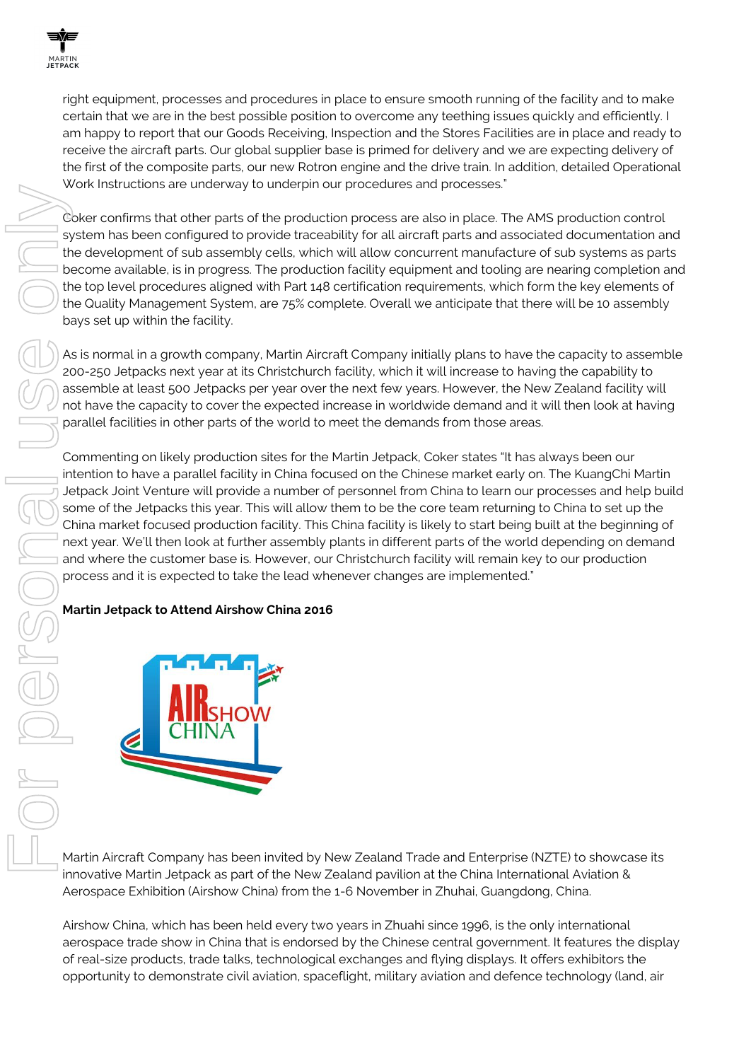

right equipment, processes and procedures in place to ensure smooth running of the facility and to make certain that we are in the best possible position to overcome any teething issues quickly and efficiently. I am happy to report that our Goods Receiving, Inspection and the Stores Facilities are in place and ready to receive the aircraft parts. Our global supplier base is primed for delivery and we are expecting delivery of the first of the composite parts, our new Rotron engine and the drive train. In addition, detailed Operational Work Instructions are underway to underpin our procedures and processes."

Coker confirms that other parts of the production process are also in place. The AMS production control system has been configured to provide traceability for all aircraft parts and associated documentation and the development of sub assembly cells, which will allow concurrent manufacture of sub systems as parts become available, is in progress. The production facility equipment and tooling are nearing completion and the top level procedures aligned with Part 148 certification requirements, which form the key elements of the Quality Management System, are 75% complete. Overall we anticipate that there will be 10 assembly bays set up within the facility.

As is normal in a growth company, Martin Aircraft Company initially plans to have the capacity to assemble 200-250 Jetpacks next year at its Christchurch facility, which it will increase to having the capability to assemble at least 500 Jetpacks per year over the next few years. However, the New Zealand facility will not have the capacity to cover the expected increase in worldwide demand and it will then look at having parallel facilities in other parts of the world to meet the demands from those areas.

Commenting on likely production sites for the Martin Jetpack, Coker states "It has always been our intention to have a parallel facility in China focused on the Chinese market early on. The KuangChi Martin Jetpack Joint Venture will provide a number of personnel from China to learn our processes and help build some of the Jetpacks this year. This will allow them to be the core team returning to China to set up the China market focused production facility. This China facility is likely to start being built at the beginning of next year. We'll then look at further assembly plants in different parts of the world depending on demand and where the customer base is. However, our Christchurch facility will remain key to our production process and it is expected to take the lead whenever changes are implemented." opportunity to demonstrate constrained the production process are determined to demonstrate constrained and demonstrate constrained and demonstrate constrained and demonstrate constrained and demonstrate constrained and de

## **Martin Jetpack to Attend Airshow China 2016**



Martin Aircraft Company has been invited by New Zealand Trade and Enterprise (NZTE) to showcase its innovative Martin Jetpack as part of the New Zealand pavilion at the China International Aviation & Aerospace Exhibition (Airshow China) from the 1-6 November in Zhuhai, Guangdong, China.

Airshow China, which has been held every two years in Zhuahi since 1996, is the only international aerospace trade show in China that is endorsed by the Chinese central government. It features the display of real-size products, trade talks, technological exchanges and flying displays. It offers exhibitors the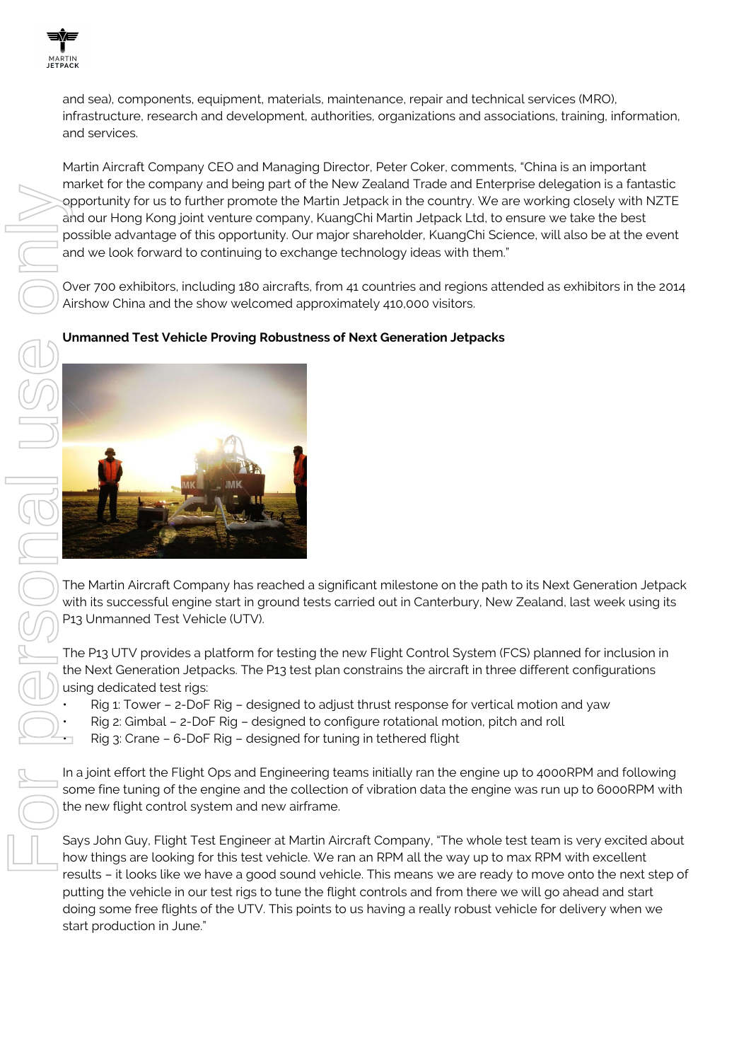

and sea), components, equipment, materials, maintenance, repair and technical services (MRO), infrastructure, research and development, authorities, organizations and associations, training, information, and services.

Martin Aircraft Company CEO and Managing Director, Peter Coker, comments, "China is an important market for the company and being part of the New Zealand Trade and Enterprise delegation is a fantastic opportunity for us to further promote the Martin Jetpack in the country. We are working closely with NZTE and our Hong Kong joint venture company, KuangChi Martin Jetpack Ltd, to ensure we take the best possible advantage of this opportunity. Our major shareholder, KuangChi Science, will also be at the event and we look forward to continuing to exchange technology ideas with them."

Over 700 exhibitors, including 180 aircrafts, from 41 countries and regions attended as exhibitors in the 2014 Airshow China and the show welcomed approximately 410,000 visitors.

## **Unmanned Test Vehicle Proving Robustness of Next Generation Jetpacks**



The Martin Aircraft Company has reached a significant milestone on the path to its Next Generation Jetpack with its successful engine start in ground tests carried out in Canterbury, New Zealand, last week using its P13 Unmanned Test Vehicle (UTV).

The P13 UTV provides a platform for testing the new Flight Control System (FCS) planned for inclusion in the Next Generation Jetpacks. The P13 test plan constrains the aircraft in three different configurations using dedicated test rigs:

- Rig 1: Tower 2-DoF Rig designed to adjust thrust response for vertical motion and yaw
- Rig 2: Gimbal 2-DoF Rig designed to configure rotational motion, pitch and roll

• Rig 3: Crane – 6-DoF Rig – designed for tuning in tethered flight

In a joint effort the Flight Ops and Engineering teams initially ran the engine up to 4000RPM and following some fine tuning of the engine and the collection of vibration data the engine was run up to 6000RPM with the new flight control system and new airframe.

Says John Guy, Flight Test Engineer at Martin Aircraft Company, "The whole test team is very excited about how things are looking for this test vehicle. We ran an RPM all the way up to max RPM with excellent results – it looks like we have a good sound vehicle. This means we are ready to move onto the next step of putting the vehicle in our test rigs to tune the flight controls and from there we will go ahead and start doing some free flights of the UTV. This points to us having a really robust vehicle for delivery when we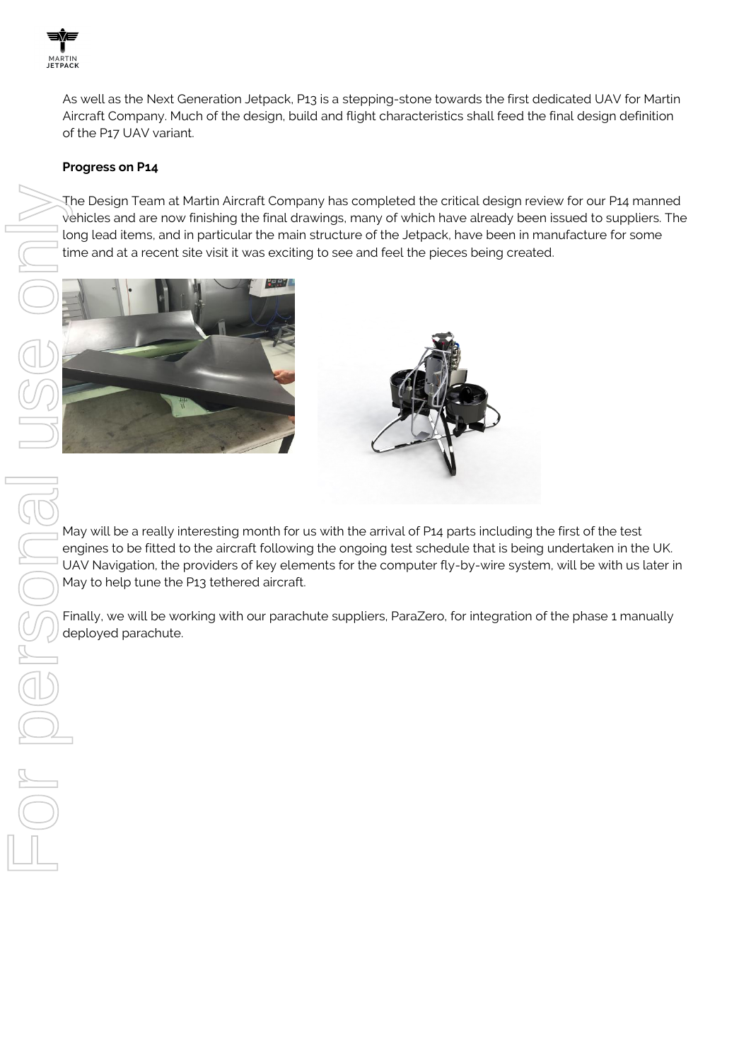

As well as the Next Generation Jetpack, P13 is a stepping-stone towards the first dedicated UAV for Martin Aircraft Company. Much of the design, build and flight characteristics shall feed the final design definition of the P17 UAV variant.

#### **Progress on P14**

The Design Team at Martin Aircraft Company has completed the critical design review for our P14 manned vehicles and are now finishing the final drawings, many of which have already been issued to suppliers. The long lead items, and in particular the main structure of the Jetpack, have been in manufacture for some time and at a recent site visit it was exciting to see and feel the pieces being created.





May will be a really interesting month for us with the arrival of P14 parts including the first of the test engines to be fitted to the aircraft following the ongoing test schedule that is being undertaken in the UK. UAV Navigation, the providers of key elements for the computer fly-by-wire system, will be with us later in May to help tune the P13 tethered aircraft.

Finally, we will be working with our parachute suppliers, ParaZero, for integration of the phase 1 manually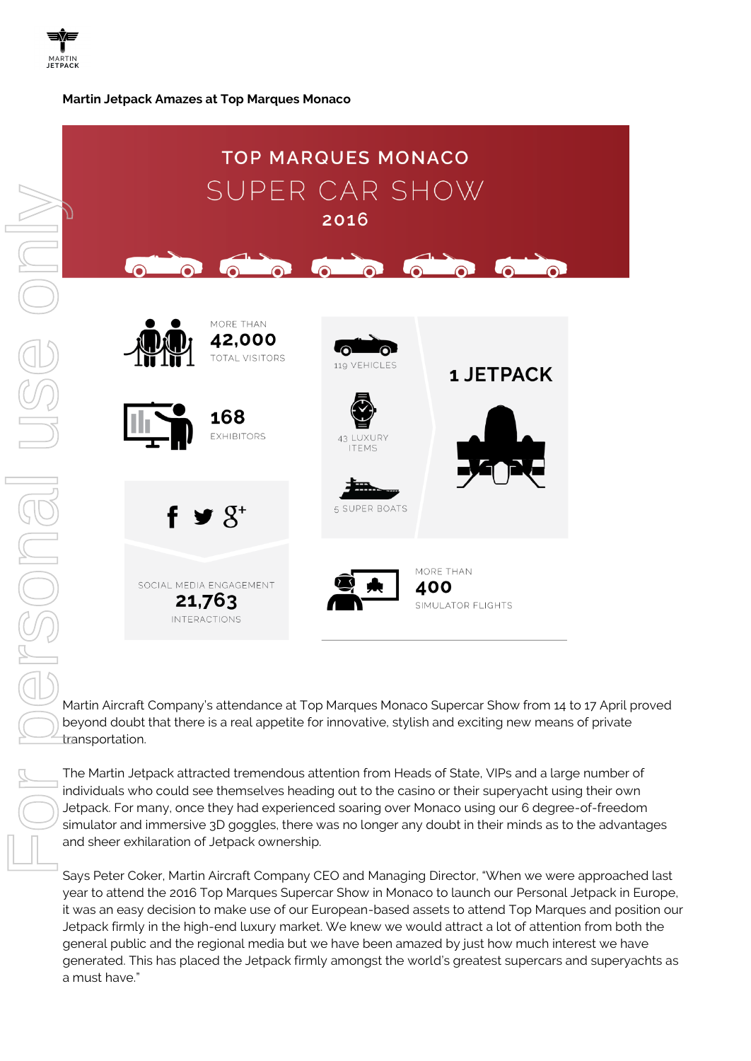#### **Martin Jetpack Amazes at Top Marques Monaco**



Martin Aircraft Company's attendance at Top Marques Monaco Supercar Show from 14 to 17 April proved beyond doubt that there is a real appetite for innovative, stylish and exciting new means of private transportation.

The Martin Jetpack attracted tremendous attention from Heads of State, VIPs and a large number of individuals who could see themselves heading out to the casino or their superyacht using their own Jetpack. For many, once they had experienced soaring over Monaco using our 6 degree-of-freedom simulator and immersive 3D goggles, there was no longer any doubt in their minds as to the advantages and sheer exhilaration of Jetpack ownership.

Says Peter Coker, Martin Aircraft Company CEO and Managing Director, "When we were approached last year to attend the 2016 Top Marques Supercar Show in Monaco to launch our Personal Jetpack in Europe, it was an easy decision to make use of our European-based assets to attend Top Marques and position our Jetpack firmly in the high-end luxury market. We knew we would attract a lot of attention from both the general public and the regional media but we have been amazed by just how much interest we have generated. This has placed the Jetpack firmly amongst the world's greatest supercars and superyachts as a must have."